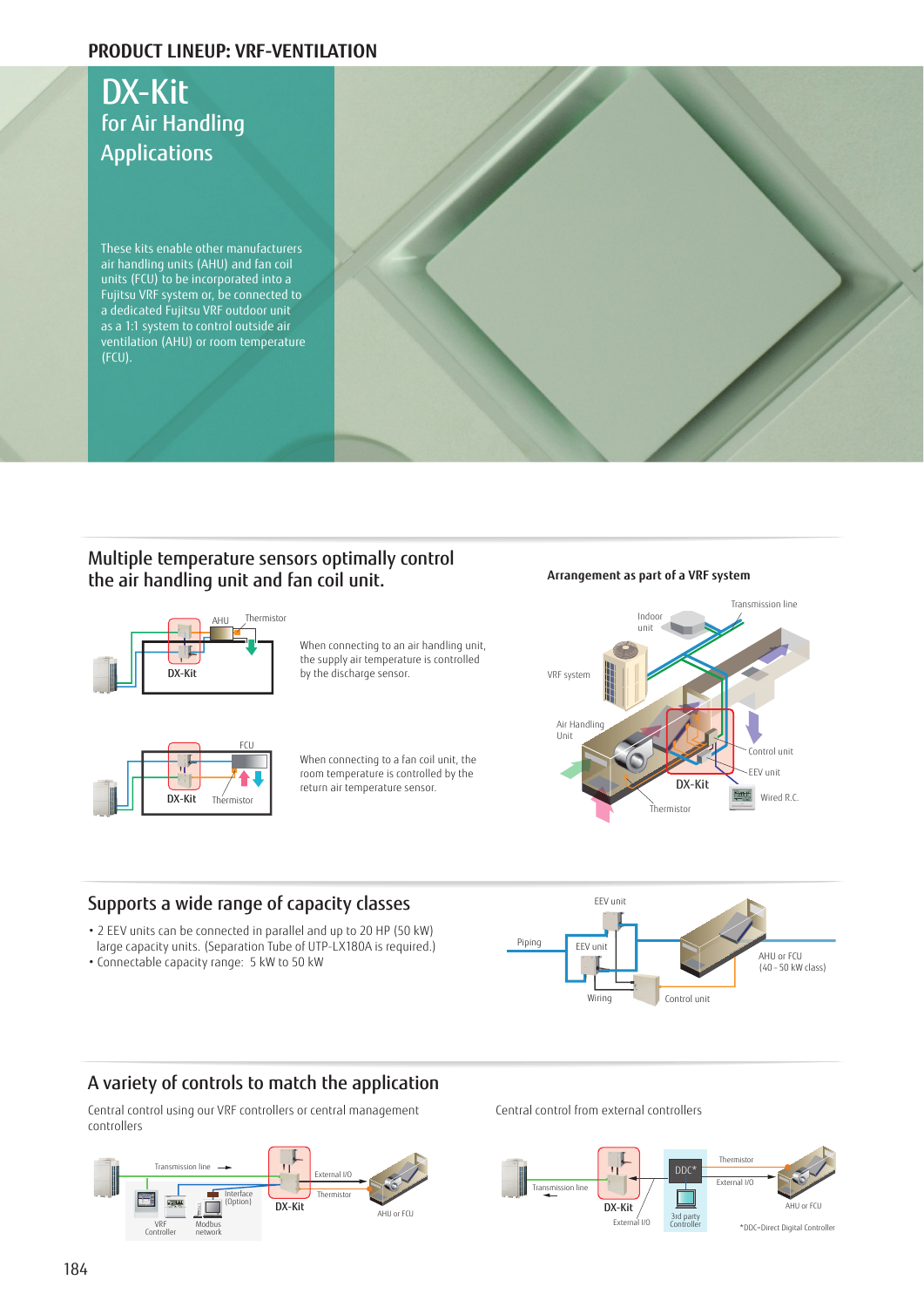### **PRODUCT LINEUP: VRF-VENTILATION**

## DX-Kit for Air Handling Applications These kits enable other manufacturers air handling units (AHU) and fan coil units (FCU) to be incorporated into a Fujitsu VRF system or, be connected to a dedicated Fujitsu VRF outdoor unit as a 1:1 system to control outside air ventilation (AHU) or room temperature (FCU).

### Multiple temperature sensors optimally control the air handling unit and fan coil unit. **Arrangement as part of a VRF system**



When connecting to an air handling unit, the supply air temperature is controlled by the discharge sensor.



When connecting to a fan coil unit, the room temperature is controlled by the return air temperature sensor.



### Supports a wide range of capacity classes

- 2 EEV units can be connected in parallel and up to 20 HP (50 kW) large capacity units. (Separation Tube of UTP-LX180A is required.)
- Connectable capacity range: 5 kW to 50 kW



### A variety of controls to match the application

Central control using our VRF controllers or central management controllers



Central control from external controllers